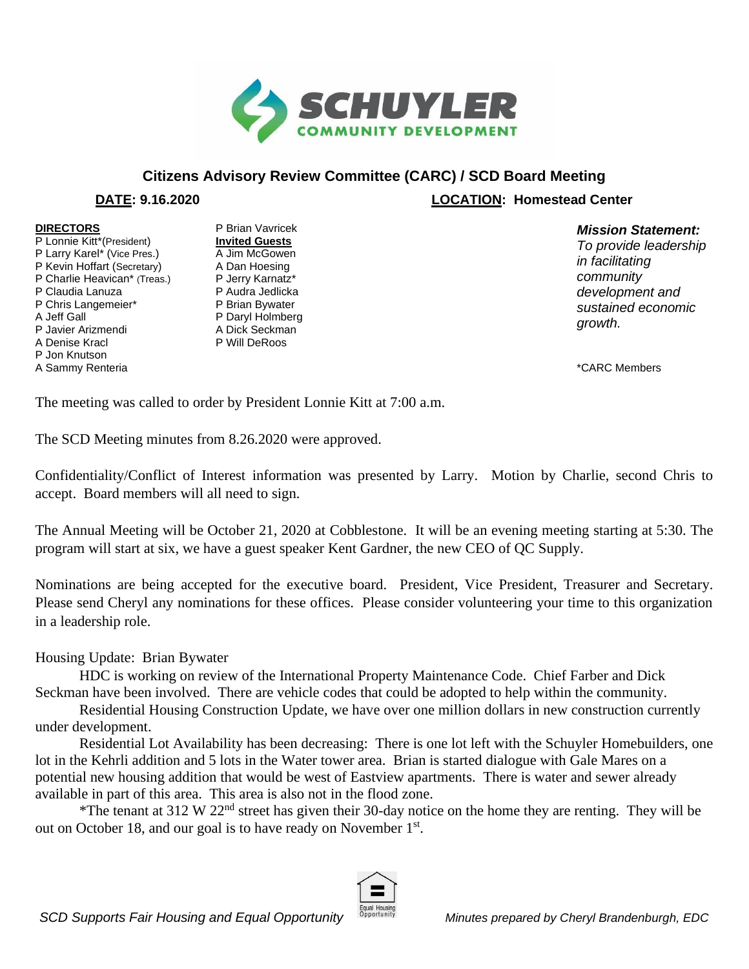

## **Citizens Advisory Review Committee (CARC) / SCD Board Meeting**

 **DATE: 9.16.2020 LOCATION: Homestead Center**

## **DIRECTORS**

P Lonnie Kitt\*(President) P Larry Karel\* (Vice Pres.) P Kevin Hoffart (Secretary) P Charlie Heavican\* (Treas.) P Claudia Lanuza P Chris Langemeier\* A Jeff Gall P Javier Arizmendi A Denise Kracl P Jon Knutson A Sammy Renteria

P Brian Vavricek **Invited Guests** A Jim McGowen A Dan Hoesing P Jerry Karnatz\* P Audra Jedlicka P Brian Bywater P Daryl Holmberg A Dick Seckman P Will DeRoos

## *Mission Statement:*

*To provide leadership in facilitating community development and sustained economic growth.* 

\*CARC Members

The meeting was called to order by President Lonnie Kitt at 7:00 a.m.

The SCD Meeting minutes from 8.26.2020 were approved.

Confidentiality/Conflict of Interest information was presented by Larry. Motion by Charlie, second Chris to accept. Board members will all need to sign.

The Annual Meeting will be October 21, 2020 at Cobblestone. It will be an evening meeting starting at 5:30. The program will start at six, we have a guest speaker Kent Gardner, the new CEO of QC Supply.

Nominations are being accepted for the executive board. President, Vice President, Treasurer and Secretary. Please send Cheryl any nominations for these offices. Please consider volunteering your time to this organization in a leadership role.

## Housing Update: Brian Bywater

HDC is working on review of the International Property Maintenance Code. Chief Farber and Dick Seckman have been involved. There are vehicle codes that could be adopted to help within the community.

Residential Housing Construction Update, we have over one million dollars in new construction currently under development.

Residential Lot Availability has been decreasing: There is one lot left with the Schuyler Homebuilders, one lot in the Kehrli addition and 5 lots in the Water tower area. Brian is started dialogue with Gale Mares on a potential new housing addition that would be west of Eastview apartments. There is water and sewer already available in part of this area. This area is also not in the flood zone.

\*The tenant at 312 W 22<sup>nd</sup> street has given their 30-day notice on the home they are renting. They will be out on October 18, and our goal is to have ready on November 1<sup>st</sup>.